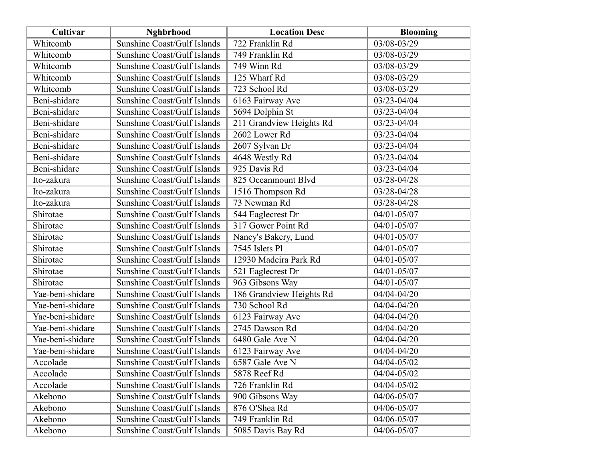| Cultivar         | <b>Nghbrhood</b>                   | <b>Location Desc</b>     | <b>Blooming</b> |
|------------------|------------------------------------|--------------------------|-----------------|
| Whitcomb         | <b>Sunshine Coast/Gulf Islands</b> | 722 Franklin Rd          | 03/08-03/29     |
| Whitcomb         | Sunshine Coast/Gulf Islands        | 749 Franklin Rd          | 03/08-03/29     |
| Whitcomb         | <b>Sunshine Coast/Gulf Islands</b> | 749 Winn Rd              | 03/08-03/29     |
| Whitcomb         | Sunshine Coast/Gulf Islands        | 125 Wharf Rd             | 03/08-03/29     |
| Whitcomb         | Sunshine Coast/Gulf Islands        | 723 School Rd            | 03/08-03/29     |
| Beni-shidare     | Sunshine Coast/Gulf Islands        | 6163 Fairway Ave         | 03/23-04/04     |
| Beni-shidare     | <b>Sunshine Coast/Gulf Islands</b> | 5694 Dolphin St          | 03/23-04/04     |
| Beni-shidare     | Sunshine Coast/Gulf Islands        | 211 Grandview Heights Rd | 03/23-04/04     |
| Beni-shidare     | Sunshine Coast/Gulf Islands        | 2602 Lower Rd            | 03/23-04/04     |
| Beni-shidare     | Sunshine Coast/Gulf Islands        | 2607 Sylvan Dr           | 03/23-04/04     |
| Beni-shidare     | <b>Sunshine Coast/Gulf Islands</b> | 4648 Westly Rd           | 03/23-04/04     |
| Beni-shidare     | Sunshine Coast/Gulf Islands        | 925 Davis Rd             | 03/23-04/04     |
| Ito-zakura       | <b>Sunshine Coast/Gulf Islands</b> | 825 Oceanmount Blvd      | 03/28-04/28     |
| Ito-zakura       | Sunshine Coast/Gulf Islands        | 1516 Thompson Rd         | 03/28-04/28     |
| Ito-zakura       | <b>Sunshine Coast/Gulf Islands</b> | 73 Newman Rd             | 03/28-04/28     |
| Shirotae         | Sunshine Coast/Gulf Islands        | 544 Eaglecrest Dr        | 04/01-05/07     |
| Shirotae         | Sunshine Coast/Gulf Islands        | 317 Gower Point Rd       | $04/01 - 05/07$ |
| Shirotae         | Sunshine Coast/Gulf Islands        | Nancy's Bakery, Lund     | 04/01-05/07     |
| Shirotae         | <b>Sunshine Coast/Gulf Islands</b> | 7545 Islets Pl           | 04/01-05/07     |
| Shirotae         | Sunshine Coast/Gulf Islands        | 12930 Madeira Park Rd    | 04/01-05/07     |
| Shirotae         | Sunshine Coast/Gulf Islands        | 521 Eaglecrest Dr        | 04/01-05/07     |
| Shirotae         | Sunshine Coast/Gulf Islands        | 963 Gibsons Way          | 04/01-05/07     |
| Yae-beni-shidare | Sunshine Coast/Gulf Islands        | 186 Grandview Heights Rd | 04/04-04/20     |
| Yae-beni-shidare | Sunshine Coast/Gulf Islands        | 730 School Rd            | 04/04-04/20     |
| Yae-beni-shidare | Sunshine Coast/Gulf Islands        | 6123 Fairway Ave         | 04/04-04/20     |
| Yae-beni-shidare | Sunshine Coast/Gulf Islands        | 2745 Dawson Rd           | 04/04-04/20     |
| Yae-beni-shidare | <b>Sunshine Coast/Gulf Islands</b> | 6480 Gale Ave N          | 04/04-04/20     |
| Yae-beni-shidare | Sunshine Coast/Gulf Islands        | 6123 Fairway Ave         | 04/04-04/20     |
| Accolade         | Sunshine Coast/Gulf Islands        | 6587 Gale Ave N          | 04/04-05/02     |
| Accolade         | Sunshine Coast/Gulf Islands        | 5878 Reef Rd             | 04/04-05/02     |
| Accolade         | Sunshine Coast/Gulf Islands        | 726 Franklin Rd          | 04/04-05/02     |
| Akebono          | Sunshine Coast/Gulf Islands        | 900 Gibsons Way          | 04/06-05/07     |
| Akebono          | Sunshine Coast/Gulf Islands        | 876 O'Shea Rd            | 04/06-05/07     |
| Akebono          | Sunshine Coast/Gulf Islands        | 749 Franklin Rd          | 04/06-05/07     |
| Akebono          | Sunshine Coast/Gulf Islands        | 5085 Davis Bay Rd        | 04/06-05/07     |